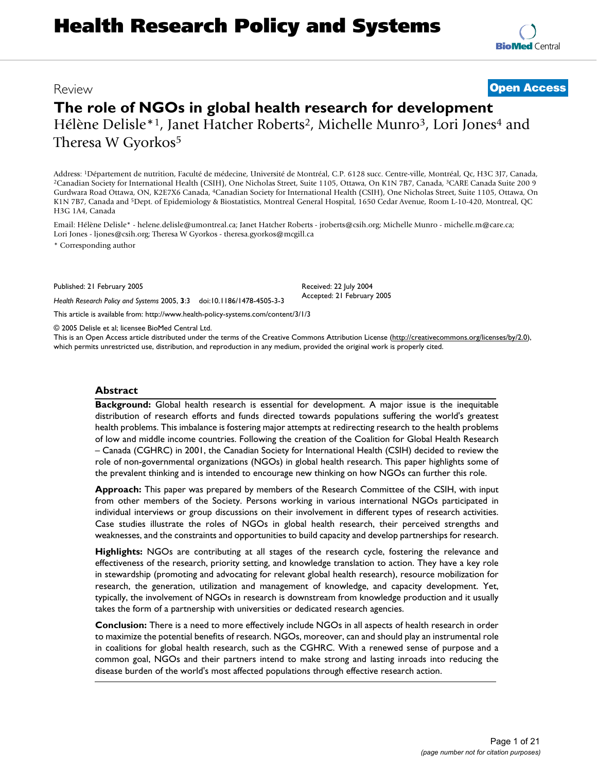# Review **[Open Access](http://www.biomedcentral.com/info/about/charter/)**

# **The role of NGOs in global health research for development**

Hélène Delisle<sup>\*1</sup>, Janet Hatcher Roberts<sup>2</sup>, Michelle Munro<sup>3</sup>, Lori Jones<sup>4</sup> and Theresa W Gyorkos<sup>5</sup>

Address: <sup>1</sup>Département de nutrition, Faculté de médecine, Université de Montréal, C.P. 6128 succ. Centre-ville, Montréal, Qc, H3C 3J7, Canada, <sup>3</sup>CARE Canada, 3CARE Canada Suite 200 9 Gurdwara Road Ottawa, ON, K2E7X6 Canada, 4Canadian Society for International Health (CSIH), One Nicholas Street, Suite 1105, Ottawa, On K1N 7B7, Canada and 5Dept. of Epidemiology & Biostatistics, Montreal General Hospital, 1650 Cedar Avenue, Room L-10-420, Montreal, QC H3G 1A4, Canada

Email: Hélène Delisle\* - helene.delisle@umontreal.ca; Janet Hatcher Roberts - jroberts@csih.org; Michelle Munro - michelle.m@care.ca; Lori Jones - ljones@csih.org; Theresa W Gyorkos - theresa.gyorkos@mcgill.ca

\* Corresponding author

Published: 21 February 2005

*Health Research Policy and Systems* 2005, **3**:3 doi:10.1186/1478-4505-3-3 Received: 22 July 2004 Accepted: 21 February 2005

[This article is available from: http://www.health-policy-systems.com/content/3/1/3](http://www.health-policy-systems.com/content/3/1/3)

© 2005 Delisle et al; licensee BioMed Central Ltd.

This is an Open Access article distributed under the terms of the Creative Commons Attribution License [\(http://creativecommons.org/licenses/by/2.0\)](http://creativecommons.org/licenses/by/2.0), which permits unrestricted use, distribution, and reproduction in any medium, provided the original work is properly cited.

## **Abstract**

**Background:** Global health research is essential for development. A major issue is the inequitable distribution of research efforts and funds directed towards populations suffering the world's greatest health problems. This imbalance is fostering major attempts at redirecting research to the health problems of low and middle income countries. Following the creation of the Coalition for Global Health Research – Canada (CGHRC) in 2001, the Canadian Society for International Health (CSIH) decided to review the role of non-governmental organizations (NGOs) in global health research. This paper highlights some of the prevalent thinking and is intended to encourage new thinking on how NGOs can further this role.

**Approach:** This paper was prepared by members of the Research Committee of the CSIH, with input from other members of the Society. Persons working in various international NGOs participated in individual interviews or group discussions on their involvement in different types of research activities. Case studies illustrate the roles of NGOs in global health research, their perceived strengths and weaknesses, and the constraints and opportunities to build capacity and develop partnerships for research.

**Highlights:** NGOs are contributing at all stages of the research cycle, fostering the relevance and effectiveness of the research, priority setting, and knowledge translation to action. They have a key role in stewardship (promoting and advocating for relevant global health research), resource mobilization for research, the generation, utilization and management of knowledge, and capacity development. Yet, typically, the involvement of NGOs in research is downstream from knowledge production and it usually takes the form of a partnership with universities or dedicated research agencies.

**Conclusion:** There is a need to more effectively include NGOs in all aspects of health research in order to maximize the potential benefits of research. NGOs, moreover, can and should play an instrumental role in coalitions for global health research, such as the CGHRC. With a renewed sense of purpose and a common goal, NGOs and their partners intend to make strong and lasting inroads into reducing the disease burden of the world's most affected populations through effective research action.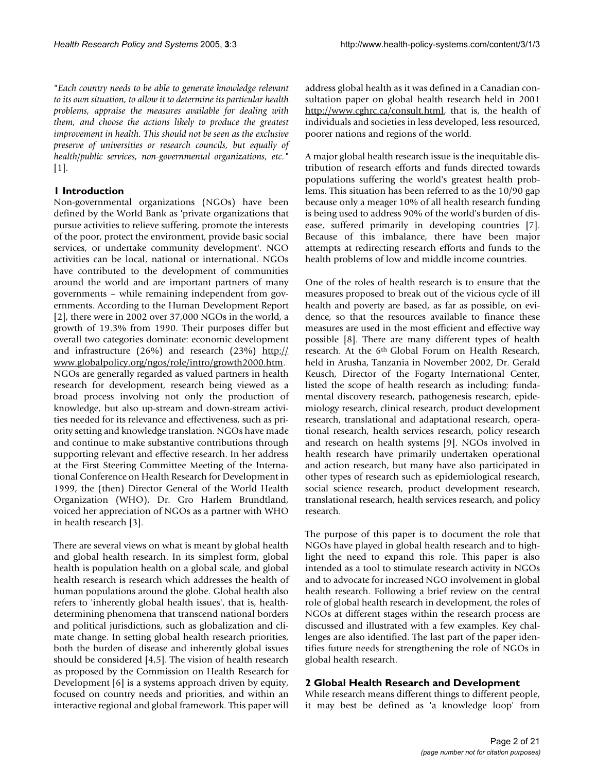"*Each country needs to be able to generate knowledge relevant to its own situation, to allow it to determine its particular health problems, appraise the measures available for dealing with them, and choose the actions likely to produce the greatest improvement in health. This should not be seen as the exclusive preserve of universities or research councils, but equally of health/public services, non-governmental organizations, etc."*  $[1]$ .

# **1 Introduction**

Non-governmental organizations (NGOs) have been defined by the World Bank as 'private organizations that pursue activities to relieve suffering, promote the interests of the poor, protect the environment, provide basic social services, or undertake community development'. NGO activities can be local, national or international. NGOs have contributed to the development of communities around the world and are important partners of many governments – while remaining independent from governments. According to the Human Development Report [2], there were in 2002 over 37,000 NGOs in the world, a growth of 19.3% from 1990. Their purposes differ but overall two categories dominate: economic development and infrastructure (26%) and research (23%) [http://](http://www.globalpolicy.org/ngos/role/intro/growth2000.htm) [www.globalpolicy.org/ngos/role/intro/growth2000.htm](http://www.globalpolicy.org/ngos/role/intro/growth2000.htm). NGOs are generally regarded as valued partners in health research for development, research being viewed as a broad process involving not only the production of knowledge, but also up-stream and down-stream activities needed for its relevance and effectiveness, such as priority setting and knowledge translation. NGOs have made and continue to make substantive contributions through supporting relevant and effective research. In her address at the First Steering Committee Meeting of the International Conference on Health Research for Development in 1999, the (then) Director General of the World Health Organization (WHO), Dr. Gro Harlem Brundtland, voiced her appreciation of NGOs as a partner with WHO in health research [3].

There are several views on what is meant by global health and global health research. In its simplest form, global health is population health on a global scale, and global health research is research which addresses the health of human populations around the globe. Global health also refers to 'inherently global health issues', that is, healthdetermining phenomena that transcend national borders and political jurisdictions, such as globalization and climate change. In setting global health research priorities, both the burden of disease and inherently global issues should be considered [4,5]. The vision of health research as proposed by the Commission on Health Research for Development [6] is a systems approach driven by equity, focused on country needs and priorities, and within an interactive regional and global framework. This paper will

address global health as it was defined in a Canadian consultation paper on global health research held in 2001 <http://www.cghrc.ca/consult.html>, that is, the health of individuals and societies in less developed, less resourced, poorer nations and regions of the world.

A major global health research issue is the inequitable distribution of research efforts and funds directed towards populations suffering the world's greatest health problems. This situation has been referred to as the 10/90 gap because only a meager 10% of all health research funding is being used to address 90% of the world's burden of disease, suffered primarily in developing countries [7]. Because of this imbalance, there have been major attempts at redirecting research efforts and funds to the health problems of low and middle income countries.

One of the roles of health research is to ensure that the measures proposed to break out of the vicious cycle of ill health and poverty are based, as far as possible, on evidence, so that the resources available to finance these measures are used in the most efficient and effective way possible [8]. There are many different types of health research. At the 6th Global Forum on Health Research, held in Arusha, Tanzania in November 2002, Dr. Gerald Keusch, Director of the Fogarty International Center, listed the scope of health research as including: fundamental discovery research, pathogenesis research, epidemiology research, clinical research, product development research, translational and adaptational research, operational research, health services research, policy research and research on health systems [9]. NGOs involved in health research have primarily undertaken operational and action research, but many have also participated in other types of research such as epidemiological research, social science research, product development research, translational research, health services research, and policy research.

The purpose of this paper is to document the role that NGOs have played in global health research and to highlight the need to expand this role. This paper is also intended as a tool to stimulate research activity in NGOs and to advocate for increased NGO involvement in global health research. Following a brief review on the central role of global health research in development, the roles of NGOs at different stages within the research process are discussed and illustrated with a few examples. Key challenges are also identified. The last part of the paper identifies future needs for strengthening the role of NGOs in global health research.

# **2 Global Health Research and Development**

While research means different things to different people, it may best be defined as 'a knowledge loop' from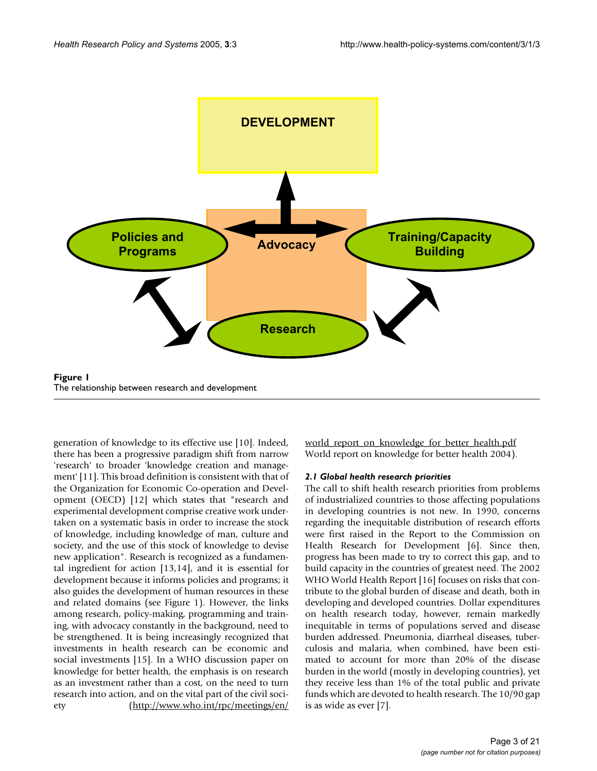

generation of knowledge to its effective use [10]. Indeed, there has been a progressive paradigm shift from narrow 'research' to broader 'knowledge creation and management' [11]. This broad definition is consistent with that of the Organization for Economic Co-operation and Development (OECD) [12] which states that "research and experimental development comprise creative work undertaken on a systematic basis in order to increase the stock of knowledge, including knowledge of man, culture and society, and the use of this stock of knowledge to devise new application". Research is recognized as a fundamental ingredient for action [13,14], and it is essential for development because it informs policies and programs; it also guides the development of human resources in these and related domains (see Figure 1). However, the links among research, policy-making, programming and training, with advocacy constantly in the background, need to be strengthened. It is being increasingly recognized that investments in health research can be economic and social investments [15]. In a WHO discussion paper on knowledge for better health, the emphasis is on research as an investment rather than a cost, on the need to turn research into action, and on the vital part of the civil society [\(http://www.who.int/rpc/meetings/en/](http://www.who.int/rpc/meetings/en/world_report_on_knowledge_for_better_health.pdf) [world\\_report\\_on\\_knowledge\\_for\\_better\\_health.pdf](http://www.who.int/rpc/meetings/en/world_report_on_knowledge_for_better_health.pdf) World report on knowledge for better health 2004).

#### *2.1 Global health research priorities*

The call to shift health research priorities from problems of industrialized countries to those affecting populations in developing countries is not new. In 1990, concerns regarding the inequitable distribution of research efforts were first raised in the Report to the Commission on Health Research for Development [6]. Since then, progress has been made to try to correct this gap, and to build capacity in the countries of greatest need. The 2002 WHO World Health Report [16] focuses on risks that contribute to the global burden of disease and death, both in developing and developed countries. Dollar expenditures on health research today, however, remain markedly inequitable in terms of populations served and disease burden addressed. Pneumonia, diarrheal diseases, tuberculosis and malaria, when combined, have been estimated to account for more than 20% of the disease burden in the world (mostly in developing countries), yet they receive less than 1% of the total public and private funds which are devoted to health research. The 10/90 gap is as wide as ever [7].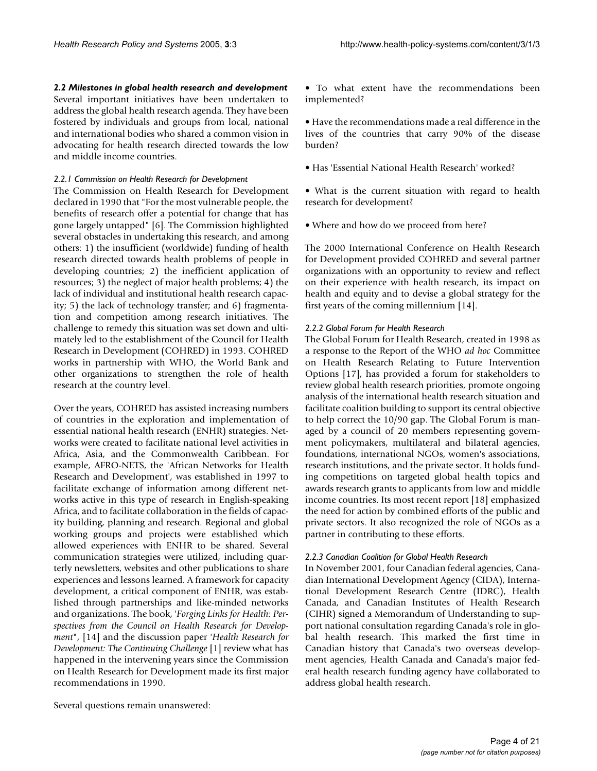*2.2 Milestones in global health research and development* Several important initiatives have been undertaken to address the global health research agenda. They have been fostered by individuals and groups from local, national and international bodies who shared a common vision in advocating for health research directed towards the low and middle income countries.

# *2.2.1 Commission on Health Research for Development*

The Commission on Health Research for Development declared in 1990 that "For the most vulnerable people, the benefits of research offer a potential for change that has gone largely untapped" [6]. The Commission highlighted several obstacles in undertaking this research, and among others: 1) the insufficient (worldwide) funding of health research directed towards health problems of people in developing countries; 2) the inefficient application of resources; 3) the neglect of major health problems; 4) the lack of individual and institutional health research capacity; 5) the lack of technology transfer; and 6) fragmentation and competition among research initiatives. The challenge to remedy this situation was set down and ultimately led to the establishment of the Council for Health Research in Development (COHRED) in 1993. COHRED works in partnership with WHO, the World Bank and other organizations to strengthen the role of health research at the country level.

Over the years, COHRED has assisted increasing numbers of countries in the exploration and implementation of essential national health research (ENHR) strategies. Networks were created to facilitate national level activities in Africa, Asia, and the Commonwealth Caribbean. For example, AFRO-NETS, the 'African Networks for Health Research and Development', was established in 1997 to facilitate exchange of information among different networks active in this type of research in English-speaking Africa, and to facilitate collaboration in the fields of capacity building, planning and research. Regional and global working groups and projects were established which allowed experiences with ENHR to be shared. Several communication strategies were utilized, including quarterly newsletters, websites and other publications to share experiences and lessons learned. A framework for capacity development, a critical component of ENHR, was established through partnerships and like-minded networks and organizations. The book, '*Forging Links for Health: Perspectives from the Council on Health Research for Development*", [14] and the discussion paper '*Health Research for Development: The Continuing Challenge* [1] review what has happened in the intervening years since the Commission on Health Research for Development made its first major recommendations in 1990.

Several questions remain unanswered:

• To what extent have the recommendations been implemented?

• Have the recommendations made a real difference in the lives of the countries that carry 90% of the disease burden?

- Has 'Essential National Health Research' worked?
- What is the current situation with regard to health research for development?
- Where and how do we proceed from here?

The 2000 International Conference on Health Research for Development provided COHRED and several partner organizations with an opportunity to review and reflect on their experience with health research, its impact on health and equity and to devise a global strategy for the first years of the coming millennium [14].

# *2.2.2 Global Forum for Health Research*

The Global Forum for Health Research, created in 1998 as a response to the Report of the WHO *ad hoc* Committee on Health Research Relating to Future Intervention Options [17], has provided a forum for stakeholders to review global health research priorities, promote ongoing analysis of the international health research situation and facilitate coalition building to support its central objective to help correct the 10/90 gap. The Global Forum is managed by a council of 20 members representing government policymakers, multilateral and bilateral agencies, foundations, international NGOs, women's associations, research institutions, and the private sector. It holds funding competitions on targeted global health topics and awards research grants to applicants from low and middle income countries. Its most recent report [18] emphasized the need for action by combined efforts of the public and private sectors. It also recognized the role of NGOs as a partner in contributing to these efforts.

# *2.2.3 Canadian Coalition for Global Health Research*

In November 2001, four Canadian federal agencies, Canadian International Development Agency (CIDA), International Development Research Centre (IDRC), Health Canada, and Canadian Institutes of Health Research (CIHR) signed a Memorandum of Understanding to support national consultation regarding Canada's role in global health research. This marked the first time in Canadian history that Canada's two overseas development agencies, Health Canada and Canada's major federal health research funding agency have collaborated to address global health research.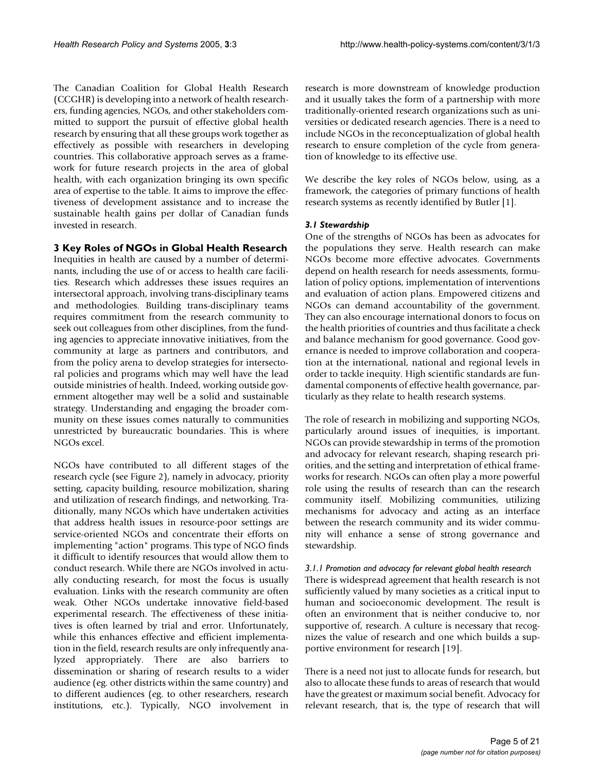The Canadian Coalition for Global Health Research (CCGHR) is developing into a network of health researchers, funding agencies, NGOs, and other stakeholders committed to support the pursuit of effective global health research by ensuring that all these groups work together as effectively as possible with researchers in developing countries. This collaborative approach serves as a framework for future research projects in the area of global health, with each organization bringing its own specific area of expertise to the table. It aims to improve the effectiveness of development assistance and to increase the sustainable health gains per dollar of Canadian funds invested in research.

# **3 Key Roles of NGOs in Global Health Research**

Inequities in health are caused by a number of determinants, including the use of or access to health care facilities. Research which addresses these issues requires an intersectoral approach, involving trans-disciplinary teams and methodologies. Building trans-disciplinary teams requires commitment from the research community to seek out colleagues from other disciplines, from the funding agencies to appreciate innovative initiatives, from the community at large as partners and contributors, and from the policy arena to develop strategies for intersectoral policies and programs which may well have the lead outside ministries of health. Indeed, working outside government altogether may well be a solid and sustainable strategy. Understanding and engaging the broader community on these issues comes naturally to communities unrestricted by bureaucratic boundaries. This is where NGOs excel.

NGOs have contributed to all different stages of the research cycle (see Figure [2\)](#page-5-0), namely in advocacy, priority setting, capacity building, resource mobilization, sharing and utilization of research findings, and networking. Traditionally, many NGOs which have undertaken activities that address health issues in resource-poor settings are service-oriented NGOs and concentrate their efforts on implementing "action" programs. This type of NGO finds it difficult to identify resources that would allow them to conduct research. While there are NGOs involved in actually conducting research, for most the focus is usually evaluation. Links with the research community are often weak. Other NGOs undertake innovative field-based experimental research. The effectiveness of these initiatives is often learned by trial and error. Unfortunately, while this enhances effective and efficient implementation in the field, research results are only infrequently analyzed appropriately. There are also barriers to dissemination or sharing of research results to a wider audience (eg. other districts within the same country) and to different audiences (eg. to other researchers, research institutions, etc.). Typically, NGO involvement in research is more downstream of knowledge production and it usually takes the form of a partnership with more traditionally-oriented research organizations such as universities or dedicated research agencies. There is a need to include NGOs in the reconceptualization of global health research to ensure completion of the cycle from generation of knowledge to its effective use.

We describe the key roles of NGOs below, using, as a framework, the categories of primary functions of health research systems as recently identified by Butler [1].

# *3.1 Stewardship*

One of the strengths of NGOs has been as advocates for the populations they serve. Health research can make NGOs become more effective advocates. Governments depend on health research for needs assessments, formulation of policy options, implementation of interventions and evaluation of action plans. Empowered citizens and NGOs can demand accountability of the government. They can also encourage international donors to focus on the health priorities of countries and thus facilitate a check and balance mechanism for good governance. Good governance is needed to improve collaboration and cooperation at the international, national and regional levels in order to tackle inequity. High scientific standards are fundamental components of effective health governance, particularly as they relate to health research systems.

The role of research in mobilizing and supporting NGOs, particularly around issues of inequities, is important. NGOs can provide stewardship in terms of the promotion and advocacy for relevant research, shaping research priorities, and the setting and interpretation of ethical frameworks for research. NGOs can often play a more powerful role using the results of research than can the research community itself. Mobilizing communities, utilizing mechanisms for advocacy and acting as an interface between the research community and its wider community will enhance a sense of strong governance and stewardship.

*3.1.1 Promotion and advocacy for relevant global health research* There is widespread agreement that health research is not sufficiently valued by many societies as a critical input to human and socioeconomic development. The result is often an environment that is neither conducive to, nor supportive of, research. A culture is necessary that recognizes the value of research and one which builds a supportive environment for research [19].

There is a need not just to allocate funds for research, but also to allocate these funds to areas of research that would have the greatest or maximum social benefit. Advocacy for relevant research, that is, the type of research that will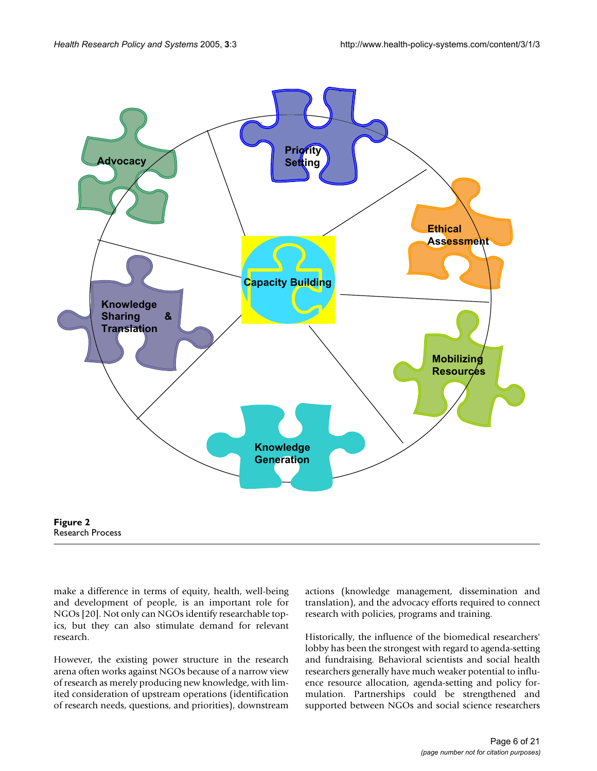<span id="page-5-0"></span>

make a difference in terms of equity, health, well-being and development of people, is an important role for NGOs [20]. Not only can NGOs identify researchable topics, but they can also stimulate demand for relevant research.

However, the existing power structure in the research arena often works against NGOs because of a narrow view of research as merely producing new knowledge, with limited consideration of upstream operations (identification of research needs, questions, and priorities), downstream

actions (knowledge management, dissemination and translation), and the advocacy efforts required to connect research with policies, programs and training.

Historically, the influence of the biomedical researchers' lobby has been the strongest with regard to agenda-setting and fundraising. Behavioral scientists and social health researchers generally have much weaker potential to influence resource allocation, agenda-setting and policy formulation. Partnerships could be strengthened and supported between NGOs and social science researchers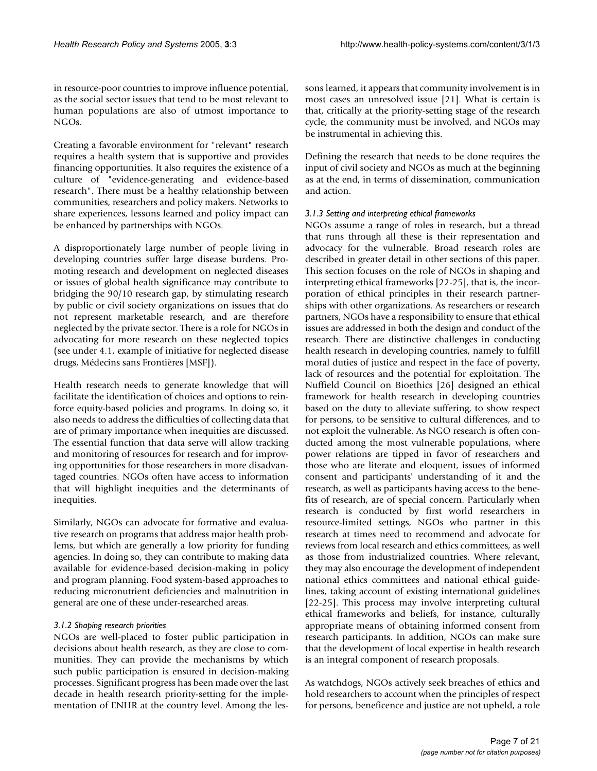in resource-poor countries to improve influence potential, as the social sector issues that tend to be most relevant to human populations are also of utmost importance to NGOs.

Creating a favorable environment for "relevant" research requires a health system that is supportive and provides financing opportunities. It also requires the existence of a culture of "evidence-generating and evidence-based research". There must be a healthy relationship between communities, researchers and policy makers. Networks to share experiences, lessons learned and policy impact can be enhanced by partnerships with NGOs.

A disproportionately large number of people living in developing countries suffer large disease burdens. Promoting research and development on neglected diseases or issues of global health significance may contribute to bridging the 90/10 research gap, by stimulating research by public or civil society organizations on issues that do not represent marketable research, and are therefore neglected by the private sector. There is a role for NGOs in advocating for more research on these neglected topics (see under 4.1, example of initiative for neglected disease drugs, Médecins sans Frontières [MSF]).

Health research needs to generate knowledge that will facilitate the identification of choices and options to reinforce equity-based policies and programs. In doing so, it also needs to address the difficulties of collecting data that are of primary importance when inequities are discussed. The essential function that data serve will allow tracking and monitoring of resources for research and for improving opportunities for those researchers in more disadvantaged countries. NGOs often have access to information that will highlight inequities and the determinants of inequities.

Similarly, NGOs can advocate for formative and evaluative research on programs that address major health problems, but which are generally a low priority for funding agencies. In doing so, they can contribute to making data available for evidence-based decision-making in policy and program planning. Food system-based approaches to reducing micronutrient deficiencies and malnutrition in general are one of these under-researched areas.

# *3.1.2 Shaping research priorities*

NGOs are well-placed to foster public participation in decisions about health research, as they are close to communities. They can provide the mechanisms by which such public participation is ensured in decision-making processes. Significant progress has been made over the last decade in health research priority-setting for the implementation of ENHR at the country level. Among the lessons learned, it appears that community involvement is in most cases an unresolved issue [21]. What is certain is that, critically at the priority-setting stage of the research cycle, the community must be involved, and NGOs may be instrumental in achieving this.

Defining the research that needs to be done requires the input of civil society and NGOs as much at the beginning as at the end, in terms of dissemination, communication and action.

# *3.1.3 Setting and interpreting ethical frameworks*

NGOs assume a range of roles in research, but a thread that runs through all these is their representation and advocacy for the vulnerable. Broad research roles are described in greater detail in other sections of this paper. This section focuses on the role of NGOs in shaping and interpreting ethical frameworks [22-25], that is, the incorporation of ethical principles in their research partnerships with other organizations. As researchers or research partners, NGOs have a responsibility to ensure that ethical issues are addressed in both the design and conduct of the research. There are distinctive challenges in conducting health research in developing countries, namely to fulfill moral duties of justice and respect in the face of poverty, lack of resources and the potential for exploitation. The Nuffield Council on Bioethics [26] designed an ethical framework for health research in developing countries based on the duty to alleviate suffering, to show respect for persons, to be sensitive to cultural differences, and to not exploit the vulnerable. As NGO research is often conducted among the most vulnerable populations, where power relations are tipped in favor of researchers and those who are literate and eloquent, issues of informed consent and participants' understanding of it and the research, as well as participants having access to the benefits of research, are of special concern. Particularly when research is conducted by first world researchers in resource-limited settings, NGOs who partner in this research at times need to recommend and advocate for reviews from local research and ethics committees, as well as those from industrialized countries. Where relevant, they may also encourage the development of independent national ethics committees and national ethical guidelines, taking account of existing international guidelines [22-25]. This process may involve interpreting cultural ethical frameworks and beliefs, for instance, culturally appropriate means of obtaining informed consent from research participants. In addition, NGOs can make sure that the development of local expertise in health research is an integral component of research proposals.

As watchdogs, NGOs actively seek breaches of ethics and hold researchers to account when the principles of respect for persons, beneficence and justice are not upheld, a role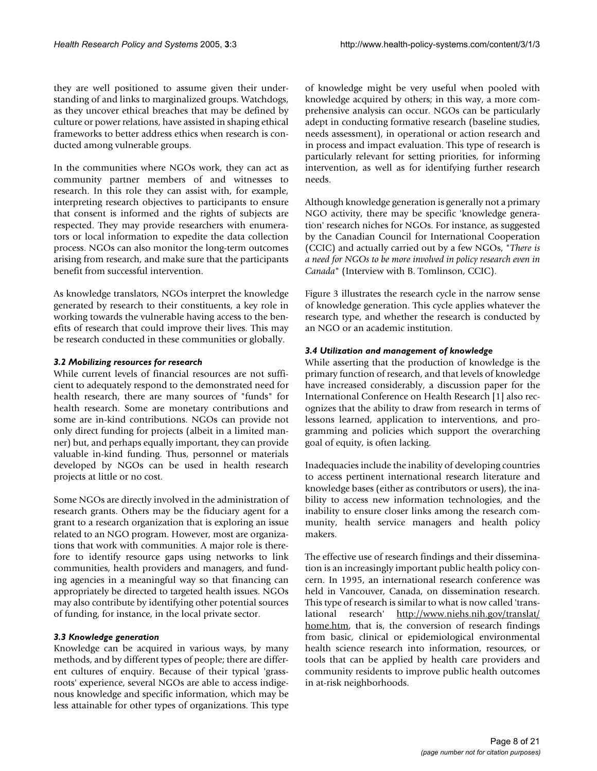they are well positioned to assume given their understanding of and links to marginalized groups. Watchdogs, as they uncover ethical breaches that may be defined by culture or power relations, have assisted in shaping ethical frameworks to better address ethics when research is conducted among vulnerable groups.

In the communities where NGOs work, they can act as community partner members of and witnesses to research. In this role they can assist with, for example, interpreting research objectives to participants to ensure that consent is informed and the rights of subjects are respected. They may provide researchers with enumerators or local information to expedite the data collection process. NGOs can also monitor the long-term outcomes arising from research, and make sure that the participants benefit from successful intervention.

As knowledge translators, NGOs interpret the knowledge generated by research to their constituents, a key role in working towards the vulnerable having access to the benefits of research that could improve their lives. This may be research conducted in these communities or globally.

# *3.2 Mobilizing resources for research*

While current levels of financial resources are not sufficient to adequately respond to the demonstrated need for health research, there are many sources of "funds" for health research. Some are monetary contributions and some are in-kind contributions. NGOs can provide not only direct funding for projects (albeit in a limited manner) but, and perhaps equally important, they can provide valuable in-kind funding. Thus, personnel or materials developed by NGOs can be used in health research projects at little or no cost.

Some NGOs are directly involved in the administration of research grants. Others may be the fiduciary agent for a grant to a research organization that is exploring an issue related to an NGO program. However, most are organizations that work with communities. A major role is therefore to identify resource gaps using networks to link communities, health providers and managers, and funding agencies in a meaningful way so that financing can appropriately be directed to targeted health issues. NGOs may also contribute by identifying other potential sources of funding, for instance, in the local private sector.

#### *3.3 Knowledge generation*

Knowledge can be acquired in various ways, by many methods, and by different types of people; there are different cultures of enquiry. Because of their typical 'grassroots' experience, several NGOs are able to access indigenous knowledge and specific information, which may be less attainable for other types of organizations. This type of knowledge might be very useful when pooled with knowledge acquired by others; in this way, a more comprehensive analysis can occur. NGOs can be particularly adept in conducting formative research (baseline studies, needs assessment), in operational or action research and in process and impact evaluation. This type of research is particularly relevant for setting priorities, for informing intervention, as well as for identifying further research needs.

Although knowledge generation is generally not a primary NGO activity, there may be specific 'knowledge generation' research niches for NGOs. For instance, as suggested by the Canadian Council for International Cooperation (CCIC) and actually carried out by a few NGOs, "*There is a need for NGOs to be more involved in policy research even in Canada*" (Interview with B. Tomlinson, CCIC).

Figure [3](#page-8-0) illustrates the research cycle in the narrow sense of knowledge generation. This cycle applies whatever the research type, and whether the research is conducted by an NGO or an academic institution.

#### *3.4 Utilization and management of knowledge*

While asserting that the production of knowledge is the primary function of research, and that levels of knowledge have increased considerably, a discussion paper for the International Conference on Health Research [1] also recognizes that the ability to draw from research in terms of lessons learned, application to interventions, and programming and policies which support the overarching goal of equity, is often lacking.

Inadequacies include the inability of developing countries to access pertinent international research literature and knowledge bases (either as contributors or users), the inability to access new information technologies, and the inability to ensure closer links among the research community, health service managers and health policy makers.

The effective use of research findings and their dissemination is an increasingly important public health policy concern. In 1995, an international research conference was held in Vancouver, Canada, on dissemination research. This type of research is similar to what is now called 'translational research' [http://www.niehs.nih.gov/translat/](http://www.niehs.nih.gov/translat/home.htm) [home.htm,](http://www.niehs.nih.gov/translat/home.htm) that is, the conversion of research findings from basic, clinical or epidemiological environmental health science research into information, resources, or tools that can be applied by health care providers and community residents to improve public health outcomes in at-risk neighborhoods.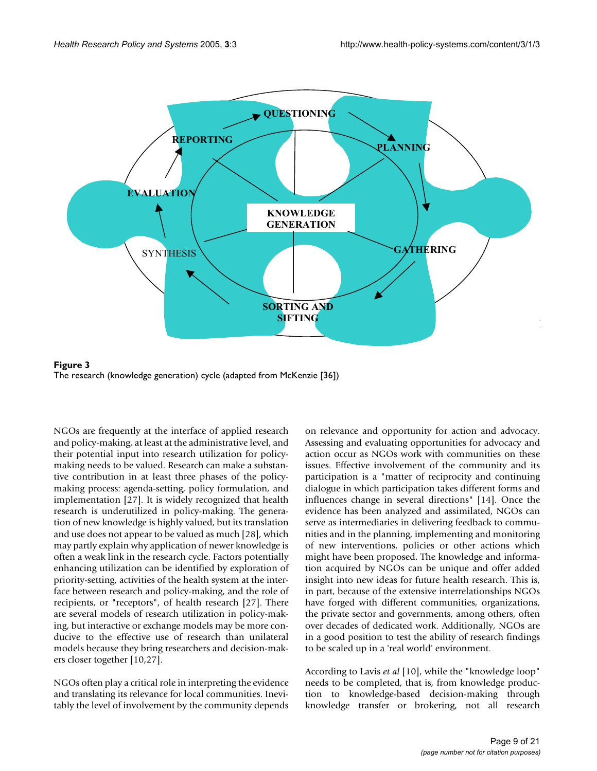<span id="page-8-0"></span>

NGOs are frequently at the interface of applied research and policy-making, at least at the administrative level, and their potential input into research utilization for policymaking needs to be valued. Research can make a substantive contribution in at least three phases of the policymaking process: agenda-setting, policy formulation, and implementation [27]. It is widely recognized that health research is underutilized in policy-making. The generation of new knowledge is highly valued, but its translation and use does not appear to be valued as much [28], which may partly explain why application of newer knowledge is often a weak link in the research cycle. Factors potentially enhancing utilization can be identified by exploration of priority-setting, activities of the health system at the interface between research and policy-making, and the role of recipients, or "receptors", of health research [27]. There are several models of research utilization in policy-making, but interactive or exchange models may be more conducive to the effective use of research than unilateral models because they bring researchers and decision-makers closer together [10,27].

NGOs often play a critical role in interpreting the evidence and translating its relevance for local communities. Inevitably the level of involvement by the community depends on relevance and opportunity for action and advocacy. Assessing and evaluating opportunities for advocacy and action occur as NGOs work with communities on these issues. Effective involvement of the community and its participation is a "matter of reciprocity and continuing dialogue in which participation takes different forms and influences change in several directions" [14]. Once the evidence has been analyzed and assimilated, NGOs can serve as intermediaries in delivering feedback to communities and in the planning, implementing and monitoring of new interventions, policies or other actions which might have been proposed. The knowledge and information acquired by NGOs can be unique and offer added insight into new ideas for future health research. This is, in part, because of the extensive interrelationships NGOs have forged with different communities, organizations, the private sector and governments, among others, often over decades of dedicated work. Additionally, NGOs are in a good position to test the ability of research findings to be scaled up in a 'real world' environment.

According to Lavis *et al* [10], while the "knowledge loop" needs to be completed, that is, from knowledge production to knowledge-based decision-making through knowledge transfer or brokering, not all research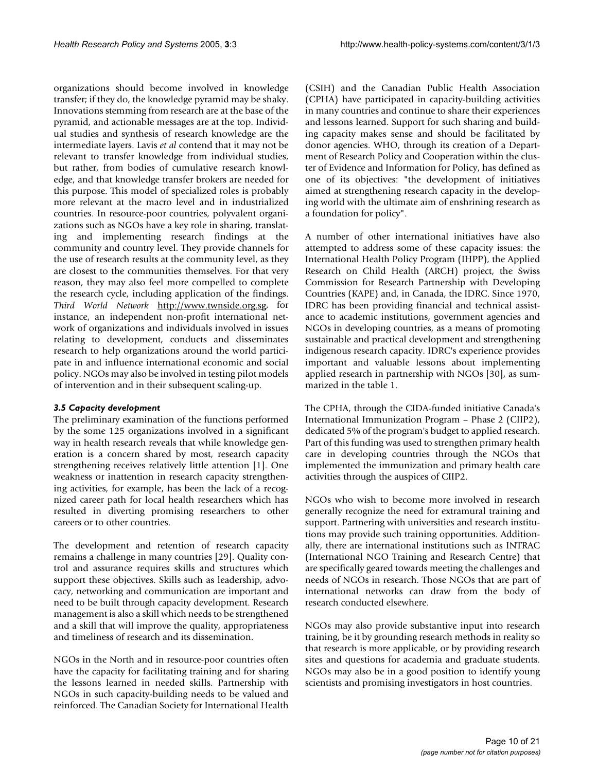organizations should become involved in knowledge transfer; if they do, the knowledge pyramid may be shaky. Innovations stemming from research are at the base of the pyramid, and actionable messages are at the top. Individual studies and synthesis of research knowledge are the intermediate layers. Lavis *et al* contend that it may not be relevant to transfer knowledge from individual studies, but rather, from bodies of cumulative research knowledge, and that knowledge transfer brokers are needed for this purpose. This model of specialized roles is probably more relevant at the macro level and in industrialized countries. In resource-poor countries, polyvalent organizations such as NGOs have a key role in sharing, translating and implementing research findings at the community and country level. They provide channels for the use of research results at the community level, as they are closest to the communities themselves. For that very reason, they may also feel more compelled to complete the research cycle, including application of the findings. *Third World Network* <http://www.twnside.org.sg>, for instance, an independent non-profit international network of organizations and individuals involved in issues relating to development, conducts and disseminates research to help organizations around the world participate in and influence international economic and social policy. NGOs may also be involved in testing pilot models of intervention and in their subsequent scaling-up.

# *3.5 Capacity development*

The preliminary examination of the functions performed by the some 125 organizations involved in a significant way in health research reveals that while knowledge generation is a concern shared by most, research capacity strengthening receives relatively little attention [1]. One weakness or inattention in research capacity strengthening activities, for example, has been the lack of a recognized career path for local health researchers which has resulted in diverting promising researchers to other careers or to other countries.

The development and retention of research capacity remains a challenge in many countries [29]. Quality control and assurance requires skills and structures which support these objectives. Skills such as leadership, advocacy, networking and communication are important and need to be built through capacity development. Research management is also a skill which needs to be strengthened and a skill that will improve the quality, appropriateness and timeliness of research and its dissemination.

NGOs in the North and in resource-poor countries often have the capacity for facilitating training and for sharing the lessons learned in needed skills. Partnership with NGOs in such capacity-building needs to be valued and reinforced. The Canadian Society for International Health (CSIH) and the Canadian Public Health Association (CPHA) have participated in capacity-building activities in many countries and continue to share their experiences and lessons learned. Support for such sharing and building capacity makes sense and should be facilitated by donor agencies. WHO, through its creation of a Department of Research Policy and Cooperation within the cluster of Evidence and Information for Policy, has defined as one of its objectives: "the development of initiatives aimed at strengthening research capacity in the developing world with the ultimate aim of enshrining research as a foundation for policy".

A number of other international initiatives have also attempted to address some of these capacity issues: the International Health Policy Program (IHPP), the Applied Research on Child Health (ARCH) project, the Swiss Commission for Research Partnership with Developing Countries (KAPE) and, in Canada, the IDRC. Since 1970, IDRC has been providing financial and technical assistance to academic institutions, government agencies and NGOs in developing countries, as a means of promoting sustainable and practical development and strengthening indigenous research capacity. IDRC's experience provides important and valuable lessons about implementing applied research in partnership with NGOs [30], as summarized in the table [1.](#page-10-0)

The CPHA, through the CIDA-funded initiative Canada's International Immunization Program – Phase 2 (CIIP2), dedicated 5% of the program's budget to applied research. Part of this funding was used to strengthen primary health care in developing countries through the NGOs that implemented the immunization and primary health care activities through the auspices of CIIP2.

NGOs who wish to become more involved in research generally recognize the need for extramural training and support. Partnering with universities and research institutions may provide such training opportunities. Additionally, there are international institutions such as INTRAC (International NGO Training and Research Centre) that are specifically geared towards meeting the challenges and needs of NGOs in research. Those NGOs that are part of international networks can draw from the body of research conducted elsewhere.

NGOs may also provide substantive input into research training, be it by grounding research methods in reality so that research is more applicable, or by providing research sites and questions for academia and graduate students. NGOs may also be in a good position to identify young scientists and promising investigators in host countries.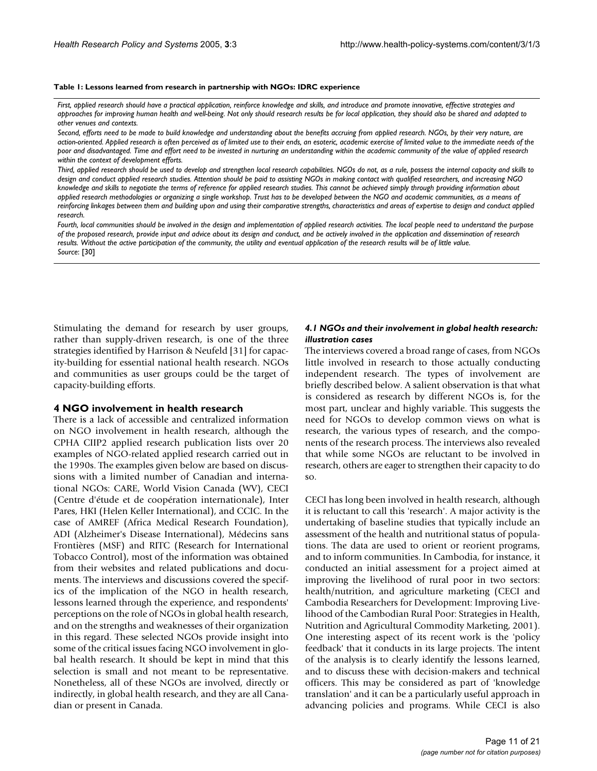#### <span id="page-10-0"></span>**Table 1: Lessons learned from research in partnership with NGOs: IDRC experience**

First, applied research should have a practical application, reinforce knowledge and skills, and introduce and promote innovative, effective strategies and *approaches for improving human health and well-being. Not only should research results be for local application, they should also be shared and adapted to other venues and contexts.*

Stimulating the demand for research by user groups, rather than supply-driven research, is one of the three strategies identified by Harrison & Neufeld [31] for capacity-building for essential national health research. NGOs and communities as user groups could be the target of capacity-building efforts.

#### **4 NGO involvement in health research**

There is a lack of accessible and centralized information on NGO involvement in health research, although the CPHA CIIP2 applied research publication lists over 20 examples of NGO-related applied research carried out in the 1990s. The examples given below are based on discussions with a limited number of Canadian and international NGOs: CARE, World Vision Canada (WV), CECI (Centre d'étude et de coopération internationale), Inter Pares, HKI (Helen Keller International), and CCIC. In the case of AMREF (Africa Medical Research Foundation), ADI (Alzheimer's Disease International), Médecins sans Frontières (MSF) and RITC (Research for International Tobacco Control), most of the information was obtained from their websites and related publications and documents. The interviews and discussions covered the specifics of the implication of the NGO in health research, lessons learned through the experience, and respondents' perceptions on the role of NGOs in global health research, and on the strengths and weaknesses of their organization in this regard. These selected NGOs provide insight into some of the critical issues facing NGO involvement in global health research. It should be kept in mind that this selection is small and not meant to be representative. Nonetheless, all of these NGOs are involved, directly or indirectly, in global health research, and they are all Canadian or present in Canada.

# *4.1 NGOs and their involvement in global health research: illustration cases*

The interviews covered a broad range of cases, from NGOs little involved in research to those actually conducting independent research. The types of involvement are briefly described below. A salient observation is that what is considered as research by different NGOs is, for the most part, unclear and highly variable. This suggests the need for NGOs to develop common views on what is research, the various types of research, and the components of the research process. The interviews also revealed that while some NGOs are reluctant to be involved in research, others are eager to strengthen their capacity to do so.

CECI has long been involved in health research, although it is reluctant to call this 'research'. A major activity is the undertaking of baseline studies that typically include an assessment of the health and nutritional status of populations. The data are used to orient or reorient programs, and to inform communities. In Cambodia, for instance, it conducted an initial assessment for a project aimed at improving the livelihood of rural poor in two sectors: health/nutrition, and agriculture marketing (CECI and Cambodia Researchers for Development: Improving Livelihood of the Cambodian Rural Poor: Strategies in Health, Nutrition and Agricultural Commodity Marketing, 2001). One interesting aspect of its recent work is the 'policy feedback' that it conducts in its large projects. The intent of the analysis is to clearly identify the lessons learned, and to discuss these with decision-makers and technical officers. This may be considered as part of 'knowledge translation' and it can be a particularly useful approach in advancing policies and programs. While CECI is also

*Second, efforts need to be made to build knowledge and understanding about the benefits accruing from applied research. NGOs, by their very nature, are action-oriented. Applied research is often perceived as of limited use to their ends, an esoteric, academic exercise of limited value to the immediate needs of the poor and disadvantaged. Time and effort need to be invested in nurturing an understanding within the academic community of the value of applied research within the context of development efforts.*

*Third, applied research should be used to develop and strengthen local research capabilities. NGOs do not, as a rule, possess the internal capacity and skills to design and conduct applied research studies. Attention should be paid to assisting NGOs in making contact with qualified researchers, and increasing NGO knowledge and skills to negotiate the terms of reference for applied research studies. This cannot be achieved simply through providing information about applied research methodologies or organizing a single workshop. Trust has to be developed between the NGO and academic communities, as a means of reinforcing linkages between them and building upon and using their comparative strengths, characteristics and areas of expertise to design and conduct applied research.*

Fourth, local communities should be involved in the design and implementation of applied research activities. The local people need to understand the purpose *of the proposed research, provide input and advice about its design and conduct, and be actively involved in the application and dissemination of research results. Without the active participation of the community, the utility and eventual application of the research results will be of little value. Source*: [30]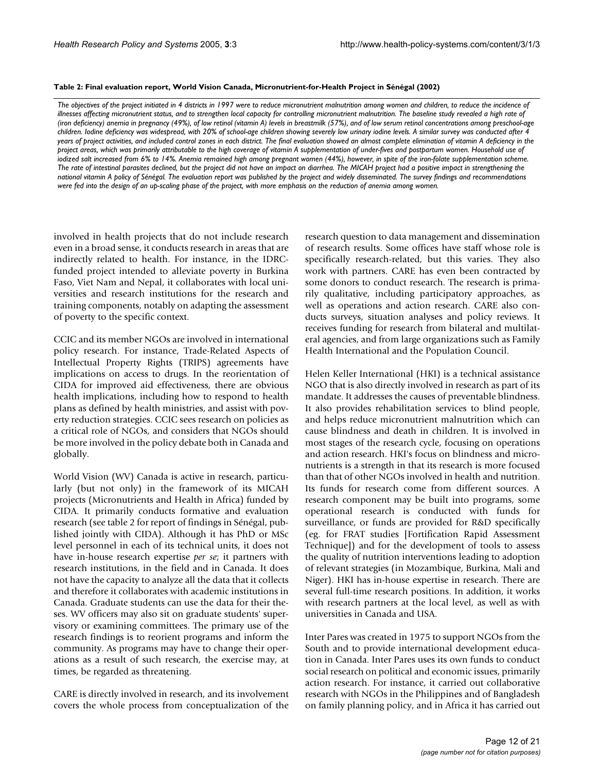#### **Table 2: Final evaluation report, World Vision Canada, Micronutrient-for-Health Project in Sénégal (2002)**

*The objectives of the project initiated in 4 districts in 1997 were to reduce micronutrient malnutrition among women and children, to reduce the incidence of illnesses affecting micronutrient status, and to strengthen local capacity for controlling micronutrient malnutrition. The baseline study revealed a high rate of (iron deficiency) anemia in pregnancy (49%), of low retinol (vitamin A) levels in breastmilk (57%), and of low serum retinol concentrations among preschool-age children. Iodine deficiency was widespread, with 20% of school-age children showing severely low urinary iodine levels. A similar survey was conducted after 4 years of project activities, and included control zones in each district. The final evaluation showed an almost complete elimination of vitamin A deficiency in the project areas, which was primarily attributable to the high coverage of vitamin A supplementation of under-fives and postpartum women. Household use of iodized salt increased from 6% to 14%. Anemia remained high among pregnant women (44%), however, in spite of the iron-folate supplementation scheme. The rate of intestinal parasites declined, but the project did not have an impact on diarrhea. The MICAH project had a positive impact in strengthening the national vitamin A policy of Sénégal. The evaluation report was published by the project and widely disseminated. The survey findings and recommendations were fed into the design of an up-scaling phase of the project, with more emphasis on the reduction of anemia among women.*

involved in health projects that do not include research even in a broad sense, it conducts research in areas that are indirectly related to health. For instance, in the IDRCfunded project intended to alleviate poverty in Burkina Faso, Viet Nam and Nepal, it collaborates with local universities and research institutions for the research and training components, notably on adapting the assessment of poverty to the specific context.

CCIC and its member NGOs are involved in international policy research. For instance, Trade-Related Aspects of Intellectual Property Rights (TRIPS) agreements have implications on access to drugs. In the reorientation of CIDA for improved aid effectiveness, there are obvious health implications, including how to respond to health plans as defined by health ministries, and assist with poverty reduction strategies. CCIC sees research on policies as a critical role of NGOs, and considers that NGOs should be more involved in the policy debate both in Canada and globally.

World Vision (WV) Canada is active in research, particularly (but not only) in the framework of its MICAH projects (Micronutrients and Health in Africa) funded by CIDA. It primarily conducts formative and evaluation research (see table 2 for report of findings in Sénégal, published jointly with CIDA). Although it has PhD or MSc level personnel in each of its technical units, it does not have in-house research expertise *per se*; it partners with research institutions, in the field and in Canada. It does not have the capacity to analyze all the data that it collects and therefore it collaborates with academic institutions in Canada. Graduate students can use the data for their theses. WV officers may also sit on graduate students' supervisory or examining committees. The primary use of the research findings is to reorient programs and inform the community. As programs may have to change their operations as a result of such research, the exercise may, at times, be regarded as threatening.

CARE is directly involved in research, and its involvement covers the whole process from conceptualization of the research question to data management and dissemination of research results. Some offices have staff whose role is specifically research-related, but this varies. They also work with partners. CARE has even been contracted by some donors to conduct research. The research is primarily qualitative, including participatory approaches, as well as operations and action research. CARE also conducts surveys, situation analyses and policy reviews. It receives funding for research from bilateral and multilateral agencies, and from large organizations such as Family Health International and the Population Council.

Helen Keller International (HKI) is a technical assistance NGO that is also directly involved in research as part of its mandate. It addresses the causes of preventable blindness. It also provides rehabilitation services to blind people, and helps reduce micronutrient malnutrition which can cause blindness and death in children. It is involved in most stages of the research cycle, focusing on operations and action research. HKI's focus on blindness and micronutrients is a strength in that its research is more focused than that of other NGOs involved in health and nutrition. Its funds for research come from different sources. A research component may be built into programs, some operational research is conducted with funds for surveillance, or funds are provided for R&D specifically (eg. for FRAT studies [Fortification Rapid Assessment Technique]) and for the development of tools to assess the quality of nutrition interventions leading to adoption of relevant strategies (in Mozambique, Burkina, Mali and Niger). HKI has in-house expertise in research. There are several full-time research positions. In addition, it works with research partners at the local level, as well as with universities in Canada and USA.

Inter Pares was created in 1975 to support NGOs from the South and to provide international development education in Canada. Inter Pares uses its own funds to conduct social research on political and economic issues, primarily action research. For instance, it carried out collaborative research with NGOs in the Philippines and of Bangladesh on family planning policy, and in Africa it has carried out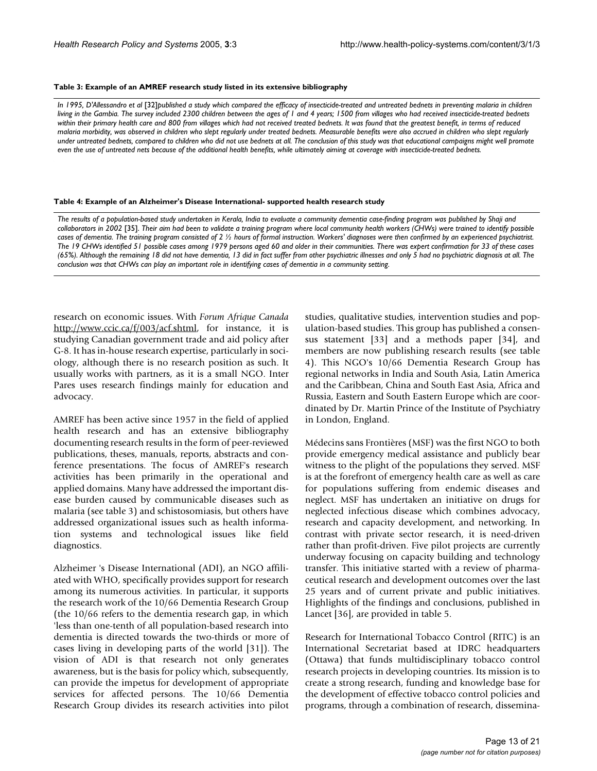#### **Table 3: Example of an AMREF research study listed in its extensive bibliography**

In 1995, D'Allessandro et al [32] published a study which compared the efficacy of insecticide-treated and untreated bednets in preventing malaria in children *living in the Gambia. The survey included 2300 children between the ages of 1 and 4 years; 1500 from villages who had received insecticide-treated bednets within their primary health care and 800 from villages which had not received treated bednets. It was found that the greatest benefit, in terms of reduced malaria morbidity, was observed in children who slept regularly under treated bednets. Measurable benefits were also accrued in children who slept regularly under untreated bednets, compared to children who did not use bednets at all. The conclusion of this study was that educational campaigns might well promote even the use of untreated nets because of the additional health benefits, while ultimately aiming at coverage with insecticide-treated bednets.*

#### **Table 4: Example of an Alzheimer's Disease International- supported health research study**

*The results of a population-based study undertaken in Kerala, India to evaluate a community dementia case-finding program was published by Shaji and collaborators in 2002* [35]. *Their aim had been to validate a training program where local community health workers (CHWs) were trained to identify possible cases of dementia. The training program consisted of 2 ½ hours of formal instruction. Workers' diagnoses were then confirmed by an experienced psychiatrist. The 19 CHWs identified 51 possible cases among 1979 persons aged 60 and older in their communities. There was expert confirmation for 33 of these cases (65%). Although the remaining 18 did not have dementia, 13 did in fact suffer from other psychiatric illnesses and only 5 had no psychiatric diagnosis at all. The conclusion was that CHWs can play an important role in identifying cases of dementia in a community setting.*

research on economic issues. With *Forum Afrique Canada* [http://www.ccic.ca/f/003/acf.shtml,](http://www.ccic.ca/f/003/acf.shtml) for instance, it is studying Canadian government trade and aid policy after G-8. It has in-house research expertise, particularly in sociology, although there is no research position as such. It usually works with partners, as it is a small NGO. Inter Pares uses research findings mainly for education and advocacy.

AMREF has been active since 1957 in the field of applied health research and has an extensive bibliography documenting research results in the form of peer-reviewed publications, theses, manuals, reports, abstracts and conference presentations. The focus of AMREF's research activities has been primarily in the operational and applied domains. Many have addressed the important disease burden caused by communicable diseases such as malaria (see table 3) and schistosomiasis, but others have addressed organizational issues such as health information systems and technological issues like field diagnostics.

Alzheimer 's Disease International (ADI), an NGO affiliated with WHO, specifically provides support for research among its numerous activities. In particular, it supports the research work of the 10/66 Dementia Research Group (the 10/66 refers to the dementia research gap, in which 'less than one-tenth of all population-based research into dementia is directed towards the two-thirds or more of cases living in developing parts of the world [31]). The vision of ADI is that research not only generates awareness, but is the basis for policy which, subsequently, can provide the impetus for development of appropriate services for affected persons. The 10/66 Dementia Research Group divides its research activities into pilot studies, qualitative studies, intervention studies and population-based studies. This group has published a consensus statement [33] and a methods paper [34], and members are now publishing research results (see table 4). This NGO's 10/66 Dementia Research Group has regional networks in India and South Asia, Latin America and the Caribbean, China and South East Asia, Africa and Russia, Eastern and South Eastern Europe which are coordinated by Dr. Martin Prince of the Institute of Psychiatry in London, England.

Médecins sans Frontières (MSF) was the first NGO to both provide emergency medical assistance and publicly bear witness to the plight of the populations they served. MSF is at the forefront of emergency health care as well as care for populations suffering from endemic diseases and neglect. MSF has undertaken an initiative on drugs for neglected infectious disease which combines advocacy, research and capacity development, and networking. In contrast with private sector research, it is need-driven rather than profit-driven. Five pilot projects are currently underway focusing on capacity building and technology transfer. This initiative started with a review of pharmaceutical research and development outcomes over the last 25 years and of current private and public initiatives. Highlights of the findings and conclusions, published in Lancet [36], are provided in table [5.](#page-13-0)

Research for International Tobacco Control (RITC) is an International Secretariat based at IDRC headquarters (Ottawa) that funds multidisciplinary tobacco control research projects in developing countries. Its mission is to create a strong research, funding and knowledge base for the development of effective tobacco control policies and programs, through a combination of research, dissemina-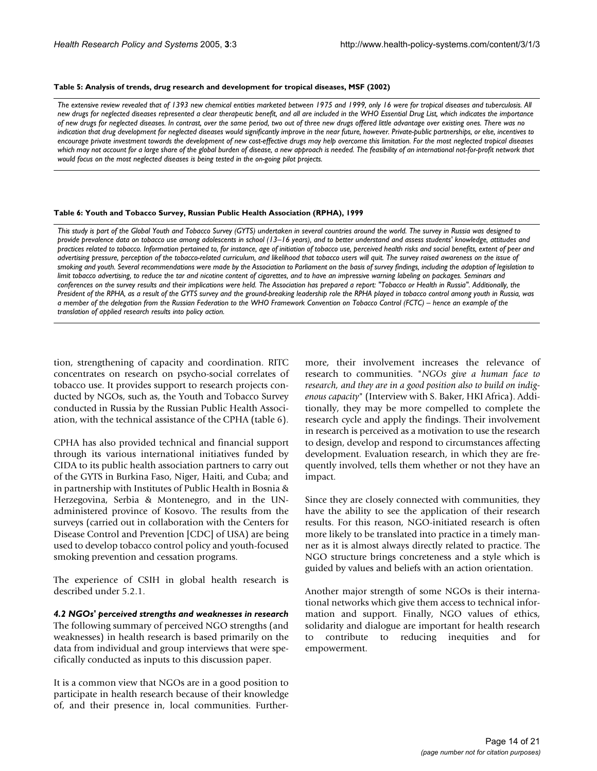#### <span id="page-13-0"></span>**Table 5: Analysis of trends, drug research and development for tropical diseases, MSF (2002)**

*The extensive review revealed that of 1393 new chemical entities marketed between 1975 and 1999, only 16 were for tropical diseases and tuberculosis. All new drugs for neglected diseases represented a clear therapeutic benefit, and all are included in the WHO Essential Drug List, which indicates the importance of new drugs for neglected diseases. In contrast, over the same period, two out of three new drugs offered little advantage over existing ones. There was no indication that drug development for neglected diseases would significantly improve in the near future, however. Private-public partnerships, or else, incentives to encourage private investment towards the development of new cost-effective drugs may help overcome this limitation. For the most neglected tropical diseases*  which may not account for a large share of the global burden of disease, a new approach is needed. The feasibility of an international not-for-profit network that *would focus on the most neglected diseases is being tested in the on-going pilot projects.*

#### <span id="page-13-1"></span>**Table 6: Youth and Tobacco Survey, Russian Public Health Association (RPHA), 1999**

*This study is part of the Global Youth and Tobacco Survey (GYTS) undertaken in several countries around the world. The survey in Russia was designed to provide prevalence data on tobacco use among adolescents in school (13–16 years), and to better understand and assess students' knowledge, attitudes and practices related to tobacco. Information pertained to, for instance, age of initiation of tobacco use, perceived health risks and social benefits, extent of peer and advertising pressure, perception of the tobacco-related curriculum, and likelihood that tobacco users will quit. The survey raised awareness on the issue of smoking and youth. Several recommendations were made by the Association to Parliament on the basis of survey findings, including the adoption of legislation to limit tobacco advertising, to reduce the tar and nicotine content of cigarettes, and to have an impressive warning labeling on packages. Seminars and conferences on the survey results and their implications were held. The Association has prepared a report: "Tobacco or Health in Russia". Additionally, the President of the RPHA, as a result of the GYTS survey and the ground-breaking leadership role the RPHA played in tobacco control among youth in Russia, was a member of the delegation from the Russian Federation to the WHO Framework Convention on Tobacco Control (FCTC) – hence an example of the translation of applied research results into policy action.*

tion, strengthening of capacity and coordination. RITC concentrates on research on psycho-social correlates of tobacco use. It provides support to research projects conducted by NGOs, such as, the Youth and Tobacco Survey conducted in Russia by the Russian Public Health Association, with the technical assistance of the CPHA (table [6\)](#page-13-1).

CPHA has also provided technical and financial support through its various international initiatives funded by CIDA to its public health association partners to carry out of the GYTS in Burkina Faso, Niger, Haiti, and Cuba; and in partnership with Institutes of Public Health in Bosnia & Herzegovina, Serbia & Montenegro, and in the UNadministered province of Kosovo. The results from the surveys (carried out in collaboration with the Centers for Disease Control and Prevention [CDC] of USA) are being used to develop tobacco control policy and youth-focused smoking prevention and cessation programs.

The experience of CSIH in global health research is described under 5.2.1.

*4.2 NGOs' perceived strengths and weaknesses in research* The following summary of perceived NGO strengths (and weaknesses) in health research is based primarily on the data from individual and group interviews that were specifically conducted as inputs to this discussion paper.

It is a common view that NGOs are in a good position to participate in health research because of their knowledge of, and their presence in, local communities. Furthermore, their involvement increases the relevance of research to communities. "*NGOs give a human face to research, and they are in a good position also to build on indigenous capacity*" (Interview with S. Baker, HKI Africa). Additionally, they may be more compelled to complete the research cycle and apply the findings. Their involvement in research is perceived as a motivation to use the research to design, develop and respond to circumstances affecting development. Evaluation research, in which they are frequently involved, tells them whether or not they have an impact.

Since they are closely connected with communities, they have the ability to see the application of their research results. For this reason, NGO-initiated research is often more likely to be translated into practice in a timely manner as it is almost always directly related to practice. The NGO structure brings concreteness and a style which is guided by values and beliefs with an action orientation.

Another major strength of some NGOs is their international networks which give them access to technical information and support. Finally, NGO values of ethics, solidarity and dialogue are important for health research to contribute to reducing inequities and for empowerment.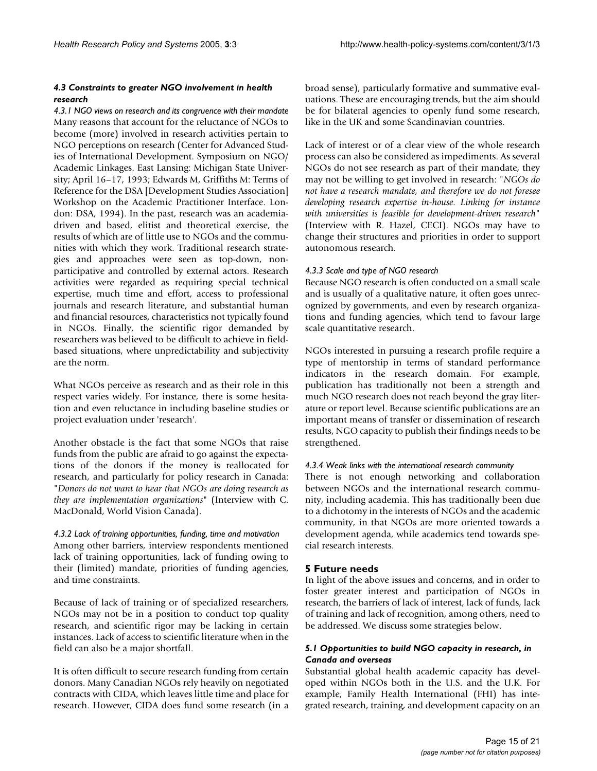# *4.3 Constraints to greater NGO involvement in health research*

*4.3.1 NGO views on research and its congruence with their mandate* Many reasons that account for the reluctance of NGOs to become (more) involved in research activities pertain to NGO perceptions on research (Center for Advanced Studies of International Development. Symposium on NGO/ Academic Linkages. East Lansing: Michigan State University; April 16–17, 1993; Edwards M, Griffiths M: Terms of Reference for the DSA [Development Studies Association] Workshop on the Academic Practitioner Interface. London: DSA, 1994). In the past, research was an academiadriven and based, elitist and theoretical exercise, the results of which are of little use to NGOs and the communities with which they work. Traditional research strategies and approaches were seen as top-down, nonparticipative and controlled by external actors. Research activities were regarded as requiring special technical expertise, much time and effort, access to professional journals and research literature, and substantial human and financial resources, characteristics not typically found in NGOs. Finally, the scientific rigor demanded by researchers was believed to be difficult to achieve in fieldbased situations, where unpredictability and subjectivity are the norm.

What NGOs perceive as research and as their role in this respect varies widely. For instance, there is some hesitation and even reluctance in including baseline studies or project evaluation under 'research'.

Another obstacle is the fact that some NGOs that raise funds from the public are afraid to go against the expectations of the donors if the money is reallocated for research, and particularly for policy research in Canada: "*Donors do not want to hear that NGOs are doing research as they are implementation organizations*" (Interview with C. MacDonald, World Vision Canada).

*4.3.2 Lack of training opportunities, funding, time and motivation* Among other barriers, interview respondents mentioned lack of training opportunities, lack of funding owing to their (limited) mandate, priorities of funding agencies, and time constraints.

Because of lack of training or of specialized researchers, NGOs may not be in a position to conduct top quality research, and scientific rigor may be lacking in certain instances. Lack of access to scientific literature when in the field can also be a major shortfall.

It is often difficult to secure research funding from certain donors. Many Canadian NGOs rely heavily on negotiated contracts with CIDA, which leaves little time and place for research. However, CIDA does fund some research (in a broad sense), particularly formative and summative evaluations. These are encouraging trends, but the aim should be for bilateral agencies to openly fund some research, like in the UK and some Scandinavian countries.

Lack of interest or of a clear view of the whole research process can also be considered as impediments. As several NGOs do not see research as part of their mandate, they may not be willing to get involved in research: "*NGOs do not have a research mandate, and therefore we do not foresee developing research expertise in-house. Linking for instance with universities is feasible for development-driven research*" (Interview with R. Hazel, CECI). NGOs may have to change their structures and priorities in order to support autonomous research.

# *4.3.3 Scale and type of NGO research*

Because NGO research is often conducted on a small scale and is usually of a qualitative nature, it often goes unrecognized by governments, and even by research organizations and funding agencies, which tend to favour large scale quantitative research.

NGOs interested in pursuing a research profile require a type of mentorship in terms of standard performance indicators in the research domain. For example, publication has traditionally not been a strength and much NGO research does not reach beyond the gray literature or report level. Because scientific publications are an important means of transfer or dissemination of research results, NGO capacity to publish their findings needs to be strengthened.

# *4.3.4 Weak links with the international research community*

There is not enough networking and collaboration between NGOs and the international research community, including academia. This has traditionally been due to a dichotomy in the interests of NGOs and the academic community, in that NGOs are more oriented towards a development agenda, while academics tend towards special research interests.

# **5 Future needs**

In light of the above issues and concerns, and in order to foster greater interest and participation of NGOs in research, the barriers of lack of interest, lack of funds, lack of training and lack of recognition, among others, need to be addressed. We discuss some strategies below.

# *5.1 Opportunities to build NGO capacity in research, in Canada and overseas*

Substantial global health academic capacity has developed within NGOs both in the U.S. and the U.K. For example, Family Health International (FHI) has integrated research, training, and development capacity on an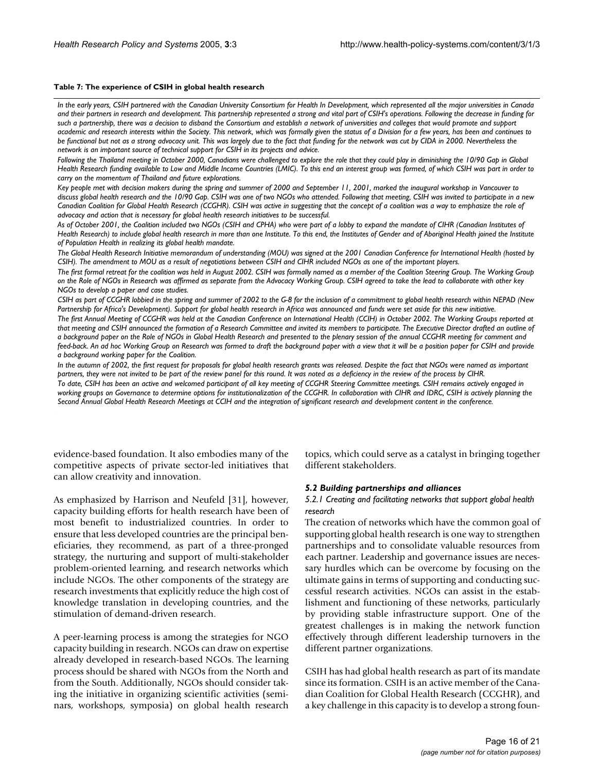#### <span id="page-15-0"></span>**Table 7: The experience of CSIH in global health research**

*In the early years, CSIH partnered with the Canadian University Consortium for Health In Development, which represented all the major universities in Canada and their partners in research and development. This partnership represented a strong and vital part of CSIH's operations. Following the decrease in funding for such a partnership, there was a decision to disband the Consortium and establish a network of universities and colleges that would promote and support academic and research interests within the Society. This network, which was formally given the status of a Division for a few years, has been and continues to*  be functional but not as a strong advocacy unit. This was largely due to the fact that funding for the network was cut by CIDA in 2000. Nevertheless the *network is an important source of technical support for CSIH in its projects and advice.*

*Following the Thailand meeting in October 2000, Canadians were challenged to explore the role that they could play in diminishing the 10/90 Gap in Global Health Research funding available to Low and Middle Income Countries (LMIC). To this end an interest group was formed, of which CSIH was part in order to carry on the momentum of Thailand and future explorations.*

*Key people met with decision makers during the spring and summer of 2000 and September 11, 2001, marked the inaugural workshop in Vancouver to discuss global health research and the 10/90 Gap. CSIH was one of two NGOs who attended. Following that meeting, CSIH was invited to participate in a new Canadian Coalition for Global Health Research (CCGHR). CSIH was active in suggesting that the concept of a coalition was a way to emphasize the role of advocacy and action that is necessary for global health research initiatives to be successful.*

As of October 2001, the Coalition included two NGOs (CSIH and CPHA) who were part of a lobby to expand the mandate of CIHR (Canadian Institutes of *Health Research) to include global health research in more than one Institute. To this end, the Institutes of Gender and of Aboriginal Health joined the Institute of Population Health in realizing its global health mandate.*

*The Global Health Research Initiative memorandum of understanding (MOU) was signed at the 2001 Canadian Conference for International Health (hosted by CSIH). The amendment to MOU as a result of negotiations between CSIH and CIHR included NGOs as one of the important players.*

The first formal retreat for the coalition was held in August 2002. CSIH was formally named as a member of the Coalition Steering Group. The Working Group *on the Role of NGOs in Research was affirmed as separate from the Advocacy Working Group. CSIH agreed to take the lead to collaborate with other key NGOs to develop a paper and case studies.*

*CSIH as part of CCGHR lobbied in the spring and summer of 2002 to the G-8 for the inclusion of a commitment to global health research within NEPAD (New Partnership for Africa's Development). Support for global health research in Africa was announced and funds were set aside for this new initiative.*

*The first Annual Meeting of CCGHR was held at the Canadian Conference on International Health (CCIH) in October 2002. The Working Groups reported at that meeting and CSIH announced the formation of a Research Committee and invited its members to participate. The Executive Director drafted an outline of a background paper on the Role of NGOs in Global Health Research and presented to the plenary session of the annual CCGHR meeting for comment and*  feed-back. An ad hoc Working Group on Research was formed to draft the background paper with a view that it will be a position paper for CSIH and provide *a background working paper for the Coalition.*

In the autumn of 2002, the first request for proposals for global health research grants was released. Despite the fact that NGOs were named as important *partners, they were not invited to be part of the review panel for this round. It was noted as a deficiency in the review of the process by CIHR.* To date, CSIH has been an active and welcomed participant of all key meeting of CCGHR Steering Committee meetings. CSIH remains actively engaged in working groups on Governance to determine options for institutionalization of the CCGHR. In collaboration with CIHR and IDRC, CSIH is actively planning the *Second Annual Global Health Research Meetings at CCIH and the integration of significant research and development content in the conference.*

evidence-based foundation. It also embodies many of the competitive aspects of private sector-led initiatives that can allow creativity and innovation.

As emphasized by Harrison and Neufeld [31], however, capacity building efforts for health research have been of most benefit to industrialized countries. In order to ensure that less developed countries are the principal beneficiaries, they recommend, as part of a three-pronged strategy, the nurturing and support of multi-stakeholder problem-oriented learning, and research networks which include NGOs. The other components of the strategy are research investments that explicitly reduce the high cost of knowledge translation in developing countries, and the stimulation of demand-driven research.

A peer-learning process is among the strategies for NGO capacity building in research. NGOs can draw on expertise already developed in research-based NGOs. The learning process should be shared with NGOs from the North and from the South. Additionally, NGOs should consider taking the initiative in organizing scientific activities (seminars, workshops, symposia) on global health research topics, which could serve as a catalyst in bringing together different stakeholders.

#### *5.2 Building partnerships and alliances*

#### *5.2.1 Creating and facilitating networks that support global health research*

The creation of networks which have the common goal of supporting global health research is one way to strengthen partnerships and to consolidate valuable resources from each partner. Leadership and governance issues are necessary hurdles which can be overcome by focusing on the ultimate gains in terms of supporting and conducting successful research activities. NGOs can assist in the establishment and functioning of these networks, particularly by providing stable infrastructure support. One of the greatest challenges is in making the network function effectively through different leadership turnovers in the different partner organizations.

CSIH has had global health research as part of its mandate since its formation. CSIH is an active member of the Canadian Coalition for Global Health Research (CCGHR), and a key challenge in this capacity is to develop a strong foun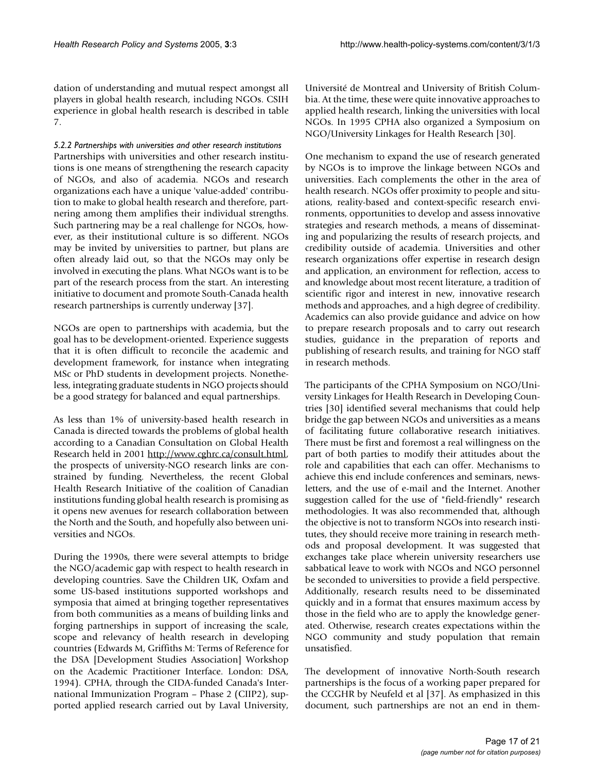dation of understanding and mutual respect amongst all players in global health research, including NGOs. CSIH experience in global health research is described in table [7.](#page-15-0)

*5.2.2 Partnerships with universities and other research institutions* Partnerships with universities and other research institutions is one means of strengthening the research capacity of NGOs, and also of academia. NGOs and research organizations each have a unique 'value-added' contribution to make to global health research and therefore, partnering among them amplifies their individual strengths. Such partnering may be a real challenge for NGOs, however, as their institutional culture is so different. NGOs may be invited by universities to partner, but plans are often already laid out, so that the NGOs may only be involved in executing the plans. What NGOs want is to be part of the research process from the start. An interesting initiative to document and promote South-Canada health research partnerships is currently underway [37].

NGOs are open to partnerships with academia, but the goal has to be development-oriented. Experience suggests that it is often difficult to reconcile the academic and development framework, for instance when integrating MSc or PhD students in development projects. Nonetheless, integrating graduate students in NGO projects should be a good strategy for balanced and equal partnerships.

As less than 1% of university-based health research in Canada is directed towards the problems of global health according to a Canadian Consultation on Global Health Research held in 2001 [http://www.cghrc.ca/consult.html,](http://www.cghrc.ca/consult.html) the prospects of university-NGO research links are constrained by funding. Nevertheless, the recent Global Health Research Initiative of the coalition of Canadian institutions funding global health research is promising as it opens new avenues for research collaboration between the North and the South, and hopefully also between universities and NGOs.

During the 1990s, there were several attempts to bridge the NGO/academic gap with respect to health research in developing countries. Save the Children UK, Oxfam and some US-based institutions supported workshops and symposia that aimed at bringing together representatives from both communities as a means of building links and forging partnerships in support of increasing the scale, scope and relevancy of health research in developing countries (Edwards M, Griffiths M: Terms of Reference for the DSA [Development Studies Association] Workshop on the Academic Practitioner Interface. London: DSA, 1994). CPHA, through the CIDA-funded Canada's International Immunization Program – Phase 2 (CIIP2), supported applied research carried out by Laval University,

Université de Montreal and University of British Columbia. At the time, these were quite innovative approaches to applied health research, linking the universities with local NGOs. In 1995 CPHA also organized a Symposium on NGO/University Linkages for Health Research [30].

One mechanism to expand the use of research generated by NGOs is to improve the linkage between NGOs and universities. Each complements the other in the area of health research. NGOs offer proximity to people and situations, reality-based and context-specific research environments, opportunities to develop and assess innovative strategies and research methods, a means of disseminating and popularizing the results of research projects, and credibility outside of academia. Universities and other research organizations offer expertise in research design and application, an environment for reflection, access to and knowledge about most recent literature, a tradition of scientific rigor and interest in new, innovative research methods and approaches, and a high degree of credibility. Academics can also provide guidance and advice on how to prepare research proposals and to carry out research studies, guidance in the preparation of reports and publishing of research results, and training for NGO staff in research methods.

The participants of the CPHA Symposium on NGO/University Linkages for Health Research in Developing Countries [30] identified several mechanisms that could help bridge the gap between NGOs and universities as a means of facilitating future collaborative research initiatives. There must be first and foremost a real willingness on the part of both parties to modify their attitudes about the role and capabilities that each can offer. Mechanisms to achieve this end include conferences and seminars, newsletters, and the use of e-mail and the Internet. Another suggestion called for the use of "field-friendly" research methodologies. It was also recommended that, although the objective is not to transform NGOs into research institutes, they should receive more training in research methods and proposal development. It was suggested that exchanges take place wherein university researchers use sabbatical leave to work with NGOs and NGO personnel be seconded to universities to provide a field perspective. Additionally, research results need to be disseminated quickly and in a format that ensures maximum access by those in the field who are to apply the knowledge generated. Otherwise, research creates expectations within the NGO community and study population that remain unsatisfied.

The development of innovative North-South research partnerships is the focus of a working paper prepared for the CCGHR by Neufeld et al [37]. As emphasized in this document, such partnerships are not an end in them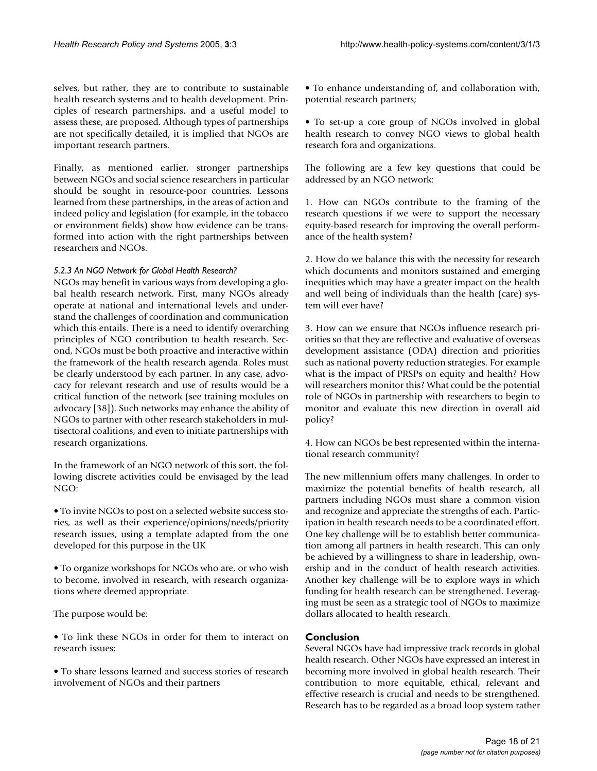selves, but rather, they are to contribute to sustainable health research systems and to health development. Principles of research partnerships, and a useful model to assess these, are proposed. Although types of partnerships are not specifically detailed, it is implied that NGOs are important research partners.

Finally, as mentioned earlier, stronger partnerships between NGOs and social science researchers in particular should be sought in resource-poor countries. Lessons learned from these partnerships, in the areas of action and indeed policy and legislation (for example, in the tobacco or environment fields) show how evidence can be transformed into action with the right partnerships between researchers and NGOs.

# *5.2.3 An NGO Network for Global Health Research?*

NGOs may benefit in various ways from developing a global health research network. First, many NGOs already operate at national and international levels and understand the challenges of coordination and communication which this entails. There is a need to identify overarching principles of NGO contribution to health research. Second, NGOs must be both proactive and interactive within the framework of the health research agenda. Roles must be clearly understood by each partner. In any case, advocacy for relevant research and use of results would be a critical function of the network (see training modules on advocacy [38]). Such networks may enhance the ability of NGOs to partner with other research stakeholders in multisectoral coalitions, and even to initiate partnerships with research organizations.

In the framework of an NGO network of this sort, the following discrete activities could be envisaged by the lead NGO:

• To invite NGOs to post on a selected website success stories, as well as their experience/opinions/needs/priority research issues, using a template adapted from the one developed for this purpose in the UK

• To organize workshops for NGOs who are, or who wish to become, involved in research, with research organizations where deemed appropriate.

The purpose would be:

• To link these NGOs in order for them to interact on research issues;

• To share lessons learned and success stories of research involvement of NGOs and their partners

• To enhance understanding of, and collaboration with, potential research partners;

• To set-up a core group of NGOs involved in global health research to convey NGO views to global health research fora and organizations.

The following are a few key questions that could be addressed by an NGO network:

1. How can NGOs contribute to the framing of the research questions if we were to support the necessary equity-based research for improving the overall performance of the health system?

2. How do we balance this with the necessity for research which documents and monitors sustained and emerging inequities which may have a greater impact on the health and well being of individuals than the health (care) system will ever have?

3. How can we ensure that NGOs influence research priorities so that they are reflective and evaluative of overseas development assistance (ODA) direction and priorities such as national poverty reduction strategies. For example what is the impact of PRSPs on equity and health? How will researchers monitor this? What could be the potential role of NGOs in partnership with researchers to begin to monitor and evaluate this new direction in overall aid policy?

4. How can NGOs be best represented within the international research community?

The new millennium offers many challenges. In order to maximize the potential benefits of health research, all partners including NGOs must share a common vision and recognize and appreciate the strengths of each. Participation in health research needs to be a coordinated effort. One key challenge will be to establish better communication among all partners in health research. This can only be achieved by a willingness to share in leadership, ownership and in the conduct of health research activities. Another key challenge will be to explore ways in which funding for health research can be strengthened. Leveraging must be seen as a strategic tool of NGOs to maximize dollars allocated to health research.

# **Conclusion**

Several NGOs have had impressive track records in global health research. Other NGOs have expressed an interest in becoming more involved in global health research. Their contribution to more equitable, ethical, relevant and effective research is crucial and needs to be strengthened. Research has to be regarded as a broad loop system rather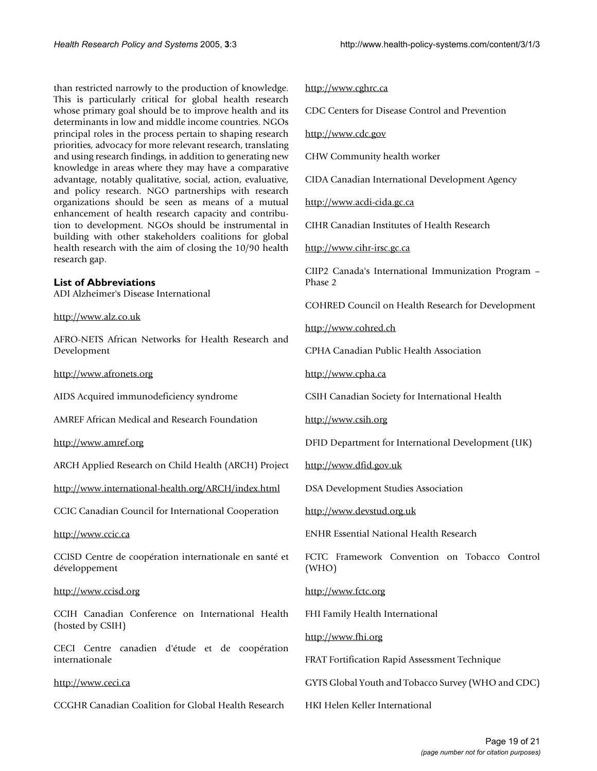than restricted narrowly to the production of knowledge. This is particularly critical for global health research whose primary goal should be to improve health and its determinants in low and middle income countries. NGOs principal roles in the process pertain to shaping research priorities, advocacy for more relevant research, translating and using research findings, in addition to generating new knowledge in areas where they may have a comparative advantage, notably qualitative, social, action, evaluative, and policy research. NGO partnerships with research organizations should be seen as means of a mutual enhancement of health research capacity and contribution to development. NGOs should be instrumental in building with other stakeholders coalitions for global health research with the aim of closing the 10/90 health research gap.

# **List of Abbreviations**

ADI Alzheimer's Disease International

http://www.alz.co.uk

AFRO-NETS African Networks for Health Research and Development

http://www.afronets.org

AIDS Acquired immunodeficiency syndrome

AMREF African Medical and Research Foundation

http://www.amref.org

ARCH Applied Research on Child Health (ARCH) Project

http://www.international-health.org/ARCH/index.html

CCIC Canadian Council for International Cooperation

## http://www.ccic.ca

CCISD Centre de coopération internationale en santé et développement

# http://www.ccisd.org

CCIH Canadian Conference on International Health (hosted by CSIH)

CECI Centre canadien d'étude et de coopération internationale

# http://www.ceci.ca

CCGHR Canadian Coalition for Global Health Research

## http://www.cghrc.ca

CDC Centers for Disease Control and Prevention

## http://www.cdc.gov

CHW Community health worker

CIDA Canadian International Development Agency

http://www.acdi-cida.gc.ca

CIHR Canadian Institutes of Health Research

http://www.cihr-irsc.gc.ca

CIIP2 Canada's International Immunization Program – Phase 2

COHRED Council on Health Research for Development

http://www.cohred.ch

CPHA Canadian Public Health Association

http://www.cpha.ca

CSIH Canadian Society for International Health

http://www.csih.org

DFID Department for International Development (UK)

http://www.dfid.gov.uk

DSA Development Studies Association

http://www.devstud.org.uk

ENHR Essential National Health Research

FCTC Framework Convention on Tobacco Control (WHO)

# http://www.fctc.org

FHI Family Health International

http://www.fhi.org

FRAT Fortification Rapid Assessment Technique

GYTS Global Youth and Tobacco Survey (WHO and CDC)

HKI Helen Keller International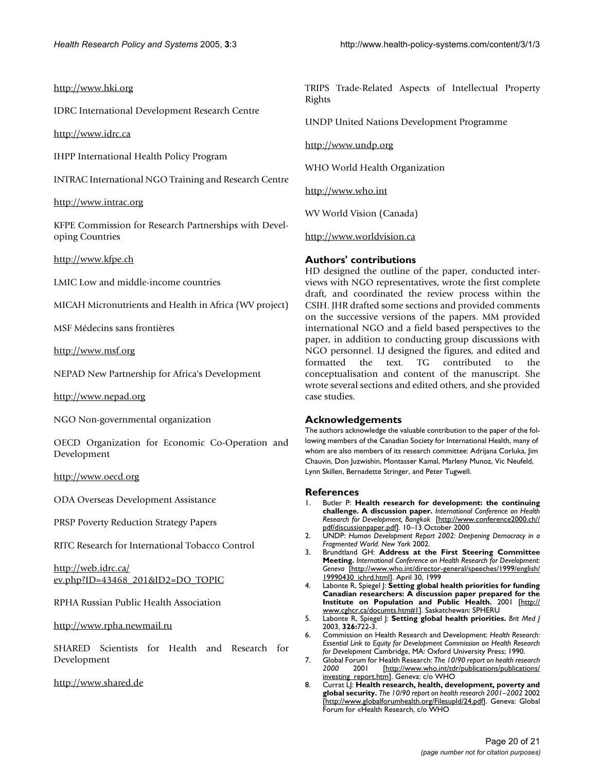## http://www.hki.org

IDRC International Development Research Centre

http://www.idrc.ca

IHPP International Health Policy Program

INTRAC International NGO Training and Research Centre

## http://www.intrac.org

KFPE Commission for Research Partnerships with Developing Countries

http://www.kfpe.ch

LMIC Low and middle-income countries

MICAH Micronutrients and Health in Africa (WV project)

MSF Médecins sans frontières

http://www.msf.org

NEPAD New Partnership for Africa's Development

http://www.nepad.org

NGO Non-governmental organization

OECD Organization for Economic Co-Operation and Development

http://www.oecd.org

ODA Overseas Development Assistance

PRSP Poverty Reduction Strategy Papers

RITC Research for International Tobacco Control

http://web.idrc.ca/ ev.php?ID=43468\_201&ID2=DO\_TOPIC

RPHA Russian Public Health Association

http://www.rpha.newmail.ru

SHARED Scientists for Health and Research for Development

http://www.shared.de

TRIPS Trade-Related Aspects of Intellectual Property Rights

UNDP United Nations Development Programme

http://www.undp.org

WHO World Health Organization

http://www.who.int

WV World Vision (Canada)

http://www.worldvision.ca

# **Authors' contributions**

HD designed the outline of the paper, conducted interviews with NGO representatives, wrote the first complete draft, and coordinated the review process within the CSIH. JHR drafted some sections and provided comments on the successive versions of the papers. MM provided international NGO and a field based perspectives to the paper, in addition to conducting group discussions with NGO personnel. LJ designed the figures, and edited and formatted the text. TG contributed to the conceptualisation and content of the manuscript. She wrote several sections and edited others, and she provided case studies.

# **Acknowledgements**

The authors acknowledge the valuable contribution to the paper of the following members of the Canadian Society for International Health, many of whom are also members of its research committee: Adrijana Corluka, Jim Chauvin, Don Juzwishin, Montasser Kamal, Marleny Munoz, Vic Neufeld, Lynn Skillen, Bernadette Stringer, and Peter Tugwell.

#### **References**

- 1. Butler P: **Health research for development: the continuing challenge. A discussion paper.** *International Conference on Health Research for Development, Bangkok* [[http://www.conference2000.ch//](http://www.conference2000.ch//pdf/discussionpaper.pdf) [pdf/discussionpaper.pdf](http://www.conference2000.ch//pdf/discussionpaper.pdf)]. 10–13 October 2000
- 2. UNDP: *Human Development Report 2002: Deepening Democracy in a Fragmented World. New York* 2002.
- 3. Brundtland GH: **Address at the First Steering Committee Meeting.** *International Conference on Health Research for Development: Geneva* [\[http://www.who.int/director-general/speeches/1999/english/](http://www.who.int/director-general/speeches/1999/english/19990430_ichrd.html) [19990430\\_ichrd.html\]](http://www.who.int/director-general/speeches/1999/english/19990430_ichrd.html). April 30, 1999
- 4. Labonte R, Spiegel J: **Setting global health priorities for funding Canadian researchers: A discussion paper prepared for the Institute on Population and Public Health.** 2001 [\[http://](http://www.cghcr.ca/documts.htm#1) [www.cghcr.ca/documts.htm#1\]](http://www.cghcr.ca/documts.htm#1). Saskatchewan: SPHERU
- 5. Labonte R, Spiegel J: **[Setting global health priorities.](http://www.ncbi.nlm.nih.gov/entrez/query.fcgi?cmd=Retrieve&db=PubMed&dopt=Abstract&list_uids=12676822)** *Brit Med J* 2003, **326:**722-3.
- 6. Commission on Health Research and Development: *Health Research: Essential Link to Equity for Development Commission on Health Research for Development* Cambridge, MA: Oxford University Press; 1990.
- 7. Global Forum for Health Research: *The 10/90 report on health research* [[http://www.who.int/tdr/publications/publications/](http://www.who.int/tdr/publications/publications/investing_report.htm) [investing\\_report.htm\]](http://www.who.int/tdr/publications/publications/investing_report.htm). Geneva: c/o WHO
- 8. Currat LJ: **Health research, health, development, poverty and global security.** *The 10/90 report on health research 2001–2002* 2002 [<http://www.globalforumhealth.org/Filesupld/24.pdf>]. Geneva: Global Forum for «Health Research, c/o WHO